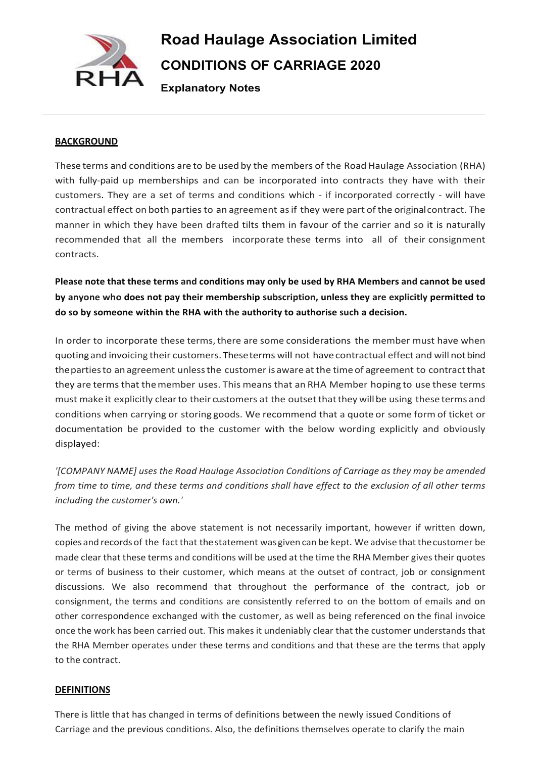

# **Road Haulage Association Limited CONDITIONS OF CARRIAGE 2020**

**Explanatory Notes**

#### **BACKGROUND**

These terms and conditions are to be used by the members of the Road Haulage Association (RHA) with fully-paid up memberships and can be incorporated into contracts they have with their customers. They are a set of terms and conditions which ‐ if incorporated correctly ‐ will have contractual effect on both parties to an agreement as if they were part of the original contract. The manner in which they have been drafted tilts them in favour of the carrier and so it is naturally recommended that all the members incorporate these terms into all of their consignment contracts.

**Please note that these terms and conditions may only be used by RHA Members and cannot be used by anyone who does not pay their membership subscription, unless they are explicitly permitted to do so by someone within the RHA with the authority to authorise such a decision.**

In order to incorporate these terms, there are some considerations the member must have when quotingand invoicing their customers. Theseterms will not havecontractual effect and will notbind the parties to an agreement unless the customer is aware at the time of agreement to contract that they are terms that themember uses. This means that an RHA Member hoping to use these terms must make it explicitly clearto their customers at the outsetthatthey willbe using these terms and conditions when carrying or storing goods. We recommend that a quote or some form of ticket or documentation be provided to the customer with the below wording explicitly and obviously displayed:

*'[COMPANY NAME] uses the Road Haulage Association Conditions of Carriage as they may be amended* from time to time, and these terms and conditions shall have effect to the exclusion of all other terms *including the customer's own.'*

The method of giving the above statement is not necessarily important, however if written down, copies and records of the fact that the statement was given can be kept. We advise that the customer be made clear that these terms and conditions will be used at the time the RHA Member gives their quotes or terms of business to their customer, which means at the outset of contract, job or consignment discussions. We also recommend that throughout the performance of the contract, job or consignment, the terms and conditions are consistently referred to on the bottom of emails and on other correspondence exchanged with the customer, as well as being referenced on the final invoice once the work has been carried out. This makes it undeniably clear that the customer understands that the RHA Member operates under these terms and conditions and that these are the terms that apply to the contract.

#### **DEFINITIONS**

There is little that has changed in terms of definitions between the newly issued Conditions of Carriage and the previous conditions. Also, the definitions themselves operate to clarify the main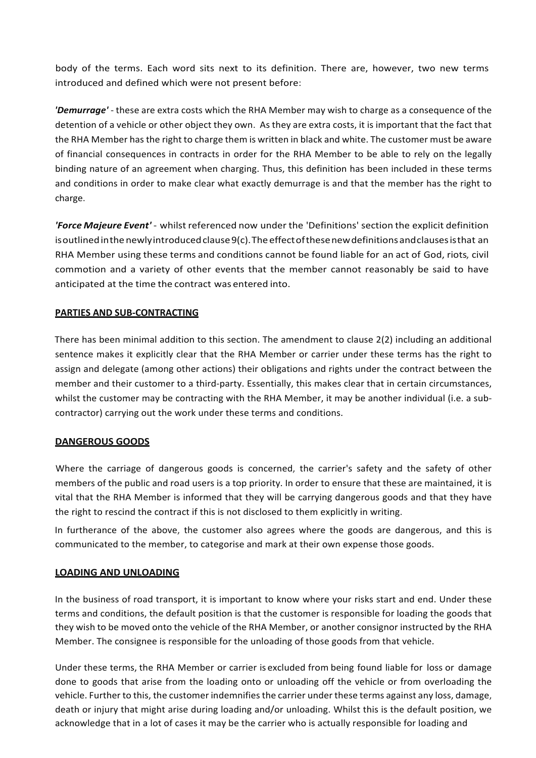body of the terms. Each word sits next to its definition. There are, however, two new terms introduced and defined which were not present before:

*'Demurrage'* ‐ these are extra costs which the RHA Member may wish to charge as a consequence of the detention of a vehicle or other object they own. As they are extra costs, it is important that the fact that the RHA Member hasthe right to charge them is written in black and white. The customer must be aware of financial consequences in contracts in order for the RHA Member to be able to rely on the legally binding nature of an agreement when charging. Thus, this definition has been included in these terms and conditions in order to make clear what exactly demurrage is and that the member has the right to charge.

*'Force Majeure Event'* ‐ whilst referenced now under the 'Definitions' section the explicit definition is outlined in the newly introduced clause 9(c). The effect of these new definitions and clauses is that an RHA Member using these terms and conditions cannot be found liable for an act of God, riots, civil commotion and a variety of other events that the member cannot reasonably be said to have anticipated at the time the contract was entered into.

# **PARTIES AND SUB‐CONTRACTING**

There has been minimal addition to this section. The amendment to clause 2(2) including an additional sentence makes it explicitly clear that the RHA Member or carrier under these terms has the right to assign and delegate (among other actions) their obligations and rights under the contract between the member and their customer to a third-party. Essentially, this makes clear that in certain circumstances, whilst the customer may be contracting with the RHA Member, it may be another individual (i.e. a subcontractor) carrying out the work under these terms and conditions.

# **DANGEROUS GOODS**

Where the carriage of dangerous goods is concerned, the carrier's safety and the safety of other members of the public and road users is a top priority. In order to ensure that these are maintained, it is vital that the RHA Member is informed that they will be carrying dangerous goods and that they have the right to rescind the contract if this is not disclosed to them explicitly in writing.

In furtherance of the above, the customer also agrees where the goods are dangerous, and this is communicated to the member, to categorise and mark at their own expense those goods.

# **LOADING AND UNLOADING**

In the business of road transport, it is important to know where your risks start and end. Under these terms and conditions, the default position is that the customer is responsible for loading the goods that they wish to be moved onto the vehicle of the RHA Member, or another consignor instructed by the RHA Member. The consignee is responsible for the unloading of those goods from that vehicle.

Under these terms, the RHA Member or carrier is excluded from being found liable for loss or damage done to goods that arise from the loading onto or unloading off the vehicle or from overloading the vehicle. Further to this, the customer indemnifies the carrier under these terms against any loss, damage, death or injury that might arise during loading and/or unloading. Whilst this is the default position, we acknowledge that in a lot of cases it may be the carrier who is actually responsible for loading and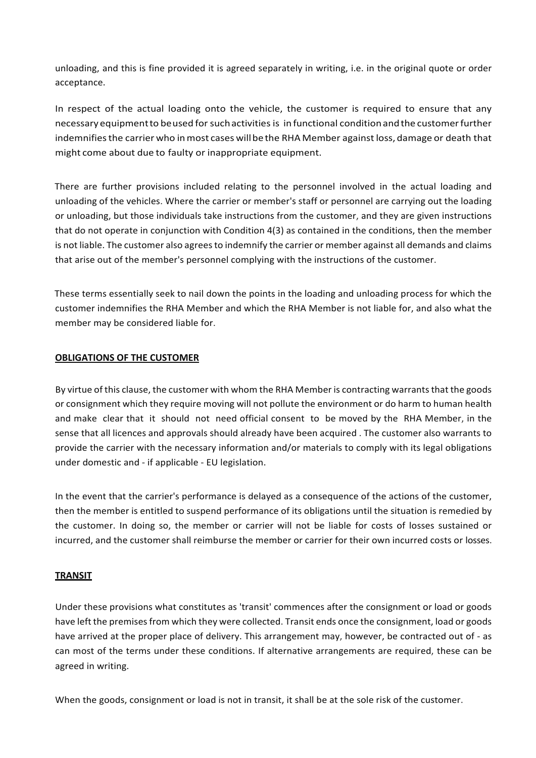unloading, and this is fine provided it is agreed separately in writing, i.e. in the original quote or order acceptance.

In respect of the actual loading onto the vehicle, the customer is required to ensure that any necessary equipment to be used for such activities is in functional condition and the customer further indemnifies the carrier who in most cases will be the RHA Member against loss, damage or death that might come about due to faulty or inappropriate equipment.

There are further provisions included relating to the personnel involved in the actual loading and unloading of the vehicles. Where the carrier or member's staff or personnel are carrying out the loading or unloading, but those individuals take instructions from the customer, and they are given instructions that do not operate in conjunction with Condition 4(3) as contained in the conditions, then the member is not liable. The customer also agrees to indemnify the carrier or member against all demands and claims that arise out of the member's personnel complying with the instructions of the customer.

These terms essentially seek to nail down the points in the loading and unloading process for which the customer indemnifies the RHA Member and which the RHA Member is not liable for, and also what the member may be considered liable for.

# **OBLIGATIONS OF THE CUSTOMER**

By virtue of this clause, the customer with whom the RHA Member is contracting warrants that the goods or consignment which they require moving will not pollute the environment or do harm to human health and make clear that it should not need official consent to be moved by the RHA Member, in the sense that all licences and approvals should already have been acquired . The customer also warrants to provide the carrier with the necessary information and/or materials to comply with its legal obligations under domestic and ‐ if applicable ‐ EU legislation.

In the event that the carrier's performance is delayed as a consequence of the actions of the customer, then the member is entitled to suspend performance of its obligations until the situation is remedied by the customer. In doing so, the member or carrier will not be liable for costs of losses sustained or incurred, and the customer shall reimburse the member or carrier for their own incurred costs or losses.

#### **TRANSIT**

Under these provisions what constitutes as 'transit' commences after the consignment or load or goods have left the premises from which they were collected. Transit ends once the consignment, load or goods have arrived at the proper place of delivery. This arrangement may, however, be contracted out of - as can most of the terms under these conditions. If alternative arrangements are required, these can be agreed in writing.

When the goods, consignment or load is not in transit, it shall be at the sole risk of the customer.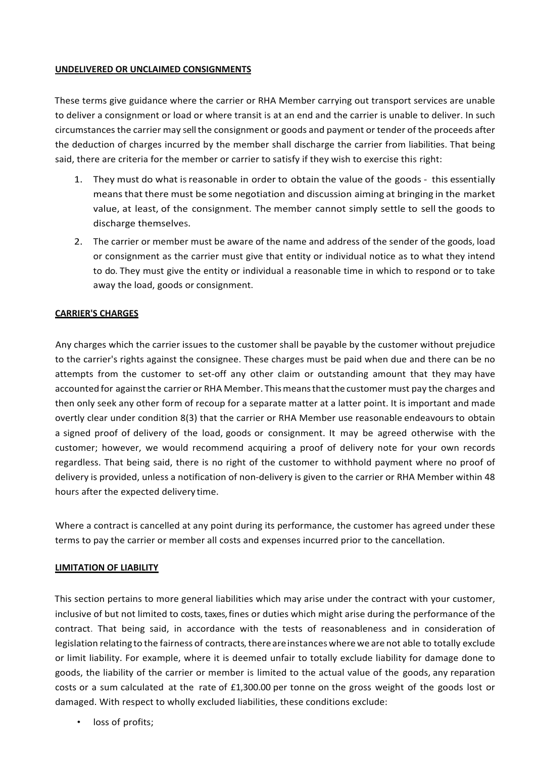#### **UNDELIVERED OR UNCLAIMED CONSIGNMENTS**

These terms give guidance where the carrier or RHA Member carrying out transport services are unable to deliver a consignment or load or where transit is at an end and the carrier is unable to deliver. In such circumstances the carrier may sell the consignment or goods and payment or tender of the proceeds after the deduction of charges incurred by the member shall discharge the carrier from liabilities. That being said, there are criteria for the member or carrier to satisfy if they wish to exercise this right:

- 1. They must do what is reasonable in order to obtain the value of the goods this essentially meansthat there must be some negotiation and discussion aiming at bringing in the market value, at least, of the consignment. The member cannot simply settle to sell the goods to discharge themselves.
- 2. The carrier or member must be aware of the name and address of the sender of the goods, load or consignment as the carrier must give that entity or individual notice as to what they intend to do. They must give the entity or individual a reasonable time in which to respond or to take away the load, goods or consignment.

# **CARRIER'S CHARGES**

Any charges which the carrier issues to the customer shall be payable by the customer without prejudice to the carrier's rights against the consignee. These charges must be paid when due and there can be no attempts from the customer to set‐off any other claim or outstanding amount that they may have accounted for against the carrier or RHA Member. This means that the customer must pay the charges and then only seek any other form of recoup for a separate matter at a latter point. It is important and made overtly clear under condition 8(3) that the carrier or RHA Member use reasonable endeavours to obtain a signed proof of delivery of the load, goods or consignment. It may be agreed otherwise with the customer; however, we would recommend acquiring a proof of delivery note for your own records regardless. That being said, there is no right of the customer to withhold payment where no proof of delivery is provided, unless a notification of non-delivery is given to the carrier or RHA Member within 48 hours after the expected delivery time.

Where a contract is cancelled at any point during its performance, the customer has agreed under these terms to pay the carrier or member all costs and expenses incurred prior to the cancellation.

# **LIMITATION OF LIABILITY**

This section pertains to more general liabilities which may arise under the contract with your customer, inclusive of but not limited to costs, taxes, fines or duties which might arise during the performance of the contract. That being said, in accordance with the tests of reasonableness and in consideration of legislation relating to the fairness of contracts, there are instances where we are not able to totally exclude or limit liability. For example, where it is deemed unfair to totally exclude liability for damage done to goods, the liability of the carrier or member is limited to the actual value of the goods, any reparation costs or a sum calculated at the rate of £1,300.00 per tonne on the gross weight of the goods lost or damaged. With respect to wholly excluded liabilities, these conditions exclude:

loss of profits;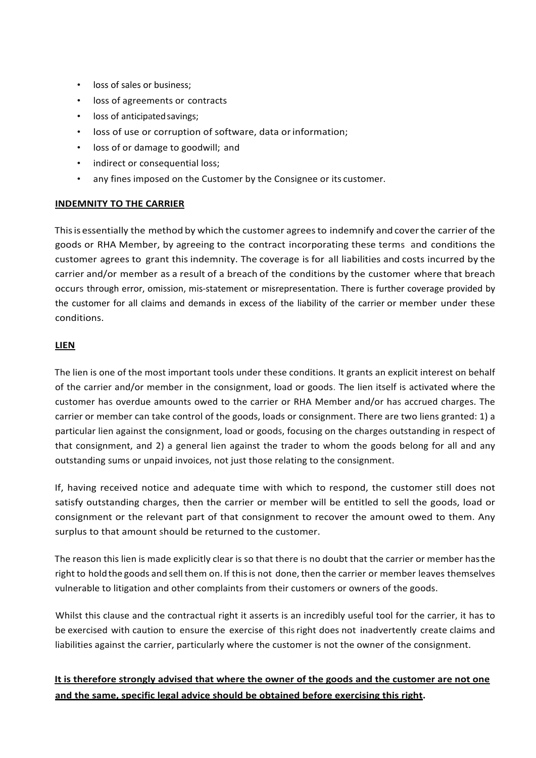- loss of sales or business;
- loss of agreements or contracts
- loss of anticipated savings;
- loss of use or corruption of software, data orinformation;
- loss of or damage to goodwill; and
- indirect or consequential loss;
- any fines imposed on the Customer by the Consignee or its customer.

# **INDEMNITY TO THE CARRIER**

Thisis essentially the method by which the customer agreesto indemnify and coverthe carrier of the goods or RHA Member, by agreeing to the contract incorporating these terms and conditions the customer agrees to grant this indemnity. The coverage is for all liabilities and costs incurred by the carrier and/or member as a result of a breach of the conditions by the customer where that breach occurs through error, omission, mis‐statement or misrepresentation. There is further coverage provided by the customer for all claims and demands in excess of the liability of the carrier or member under these conditions.

# **LIEN**

The lien is one of the most important tools under these conditions. It grants an explicit interest on behalf of the carrier and/or member in the consignment, load or goods. The lien itself is activated where the customer has overdue amounts owed to the carrier or RHA Member and/or has accrued charges. The carrier or member can take control of the goods, loads or consignment. There are two liens granted: 1) a particular lien against the consignment, load or goods, focusing on the charges outstanding in respect of that consignment, and 2) a general lien against the trader to whom the goods belong for all and any outstanding sums or unpaid invoices, not just those relating to the consignment.

If, having received notice and adequate time with which to respond, the customer still does not satisfy outstanding charges, then the carrier or member will be entitled to sell the goods, load or consignment or the relevant part of that consignment to recover the amount owed to them. Any surplus to that amount should be returned to the customer.

The reason this lien is made explicitly clear is so that there is no doubt that the carrier or member hasthe right to hold the goods and sell them on. If this is not done, then the carrier or member leaves themselves vulnerable to litigation and other complaints from their customers or owners of the goods.

Whilst this clause and the contractual right it asserts is an incredibly useful tool for the carrier, it has to be exercised with caution to ensure the exercise of thisright does not inadvertently create claims and liabilities against the carrier, particularly where the customer is not the owner of the consignment.

# **It is therefore strongly advised that where the owner of the goods and the customer are not one and the same, specific legal advice should be obtained before exercising this right.**